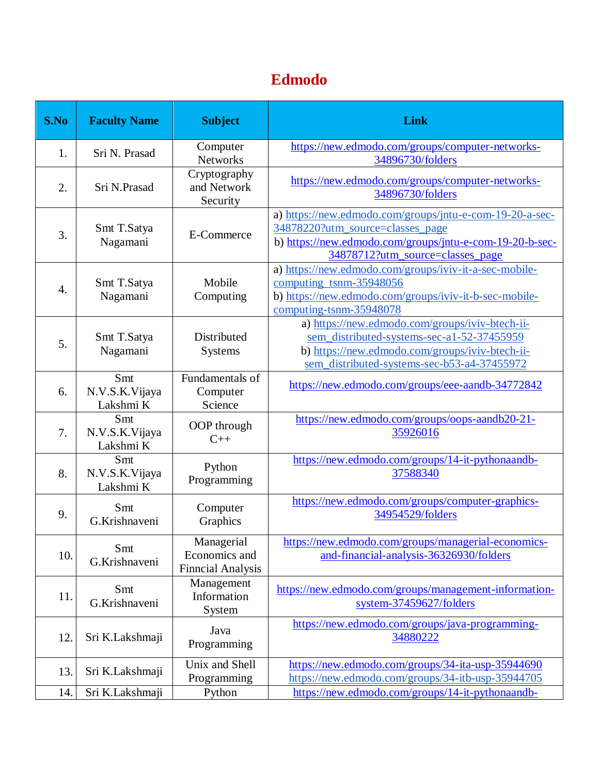## **Edmodo**

| S.No | <b>Faculty Name</b>                | <b>Subject</b>                                          | Link                                                                                                                                                                                            |
|------|------------------------------------|---------------------------------------------------------|-------------------------------------------------------------------------------------------------------------------------------------------------------------------------------------------------|
| 1.   | Sri N. Prasad                      | Computer<br><b>Networks</b>                             | https://new.edmodo.com/groups/computer-networks-<br>34896730/folders                                                                                                                            |
| 2.   | Sri N.Prasad                       | Cryptography<br>and Network<br>Security                 | https://new.edmodo.com/groups/computer-networks-<br>34896730/folders                                                                                                                            |
| 3.   | Smt T.Satya<br>Nagamani            | E-Commerce                                              | a) https://new.edmodo.com/groups/jntu-e-com-19-20-a-sec-<br>34878220?utm_source=classes_page<br>b) https://new.edmodo.com/groups/jntu-e-com-19-20-b-sec-<br>34878712?utm_source=classes_page    |
| 4.   | Smt T.Satya<br>Nagamani            | Mobile<br>Computing                                     | a) https://new.edmodo.com/groups/iviv-it-a-sec-mobile-<br>computing_tsnm-35948056<br>b) https://new.edmodo.com/groups/iviv-it-b-sec-mobile-<br>computing-tsnm-35948078                          |
| 5.   | Smt T.Satya<br>Nagamani            | Distributed<br><b>Systems</b>                           | a) https://new.edmodo.com/groups/iviv-btech-ii-<br>sem_distributed-systems-sec-a1-52-37455959<br>b) https://new.edmodo.com/groups/iviv-btech-ii-<br>sem_distributed-systems-sec-b53-a4-37455972 |
| 6.   | Smt<br>N.V.S.K.Vijaya<br>Lakshmi K | Fundamentals of<br>Computer<br>Science                  | https://new.edmodo.com/groups/eee-aandb-34772842                                                                                                                                                |
| 7.   | Smt<br>N.V.S.K.Vijaya<br>Lakshmi K | OOP through<br>$C++$                                    | https://new.edmodo.com/groups/oops-aandb20-21-<br>35926016                                                                                                                                      |
| 8.   | Smt<br>N.V.S.K.Vijaya<br>Lakshmi K | Python<br>Programming                                   | https://new.edmodo.com/groups/14-it-pythonaandb-<br>37588340                                                                                                                                    |
| 9.   | Smt<br>G.Krishnaveni               | Computer<br>Graphics                                    | https://new.edmodo.com/groups/computer-graphics-<br>34954529/folders                                                                                                                            |
| 10.  | Smt<br>G.Krishnaveni               | Managerial<br>Economics and<br><b>Finncial Analysis</b> | https://new.edmodo.com/groups/managerial-economics-<br>and-financial-analysis-36326930/folders                                                                                                  |
| 11.  | Smt<br>G.Krishnaveni               | Management<br>Information<br>System                     | https://new.edmodo.com/groups/management-information-<br>system-37459627/folders                                                                                                                |
| 12.  | Sri K.Lakshmaji                    | Java<br>Programming                                     | https://new.edmodo.com/groups/java-programming-<br>34880222                                                                                                                                     |
| 13.  | Sri K.Lakshmaji                    | Unix and Shell<br>Programming                           | https://new.edmodo.com/groups/34-ita-usp-35944690<br>https://new.edmodo.com/groups/34-itb-usp-35944705                                                                                          |
| 14.  | Sri K.Lakshmaji                    | Python                                                  | https://new.edmodo.com/groups/14-it-pythonaandb-                                                                                                                                                |